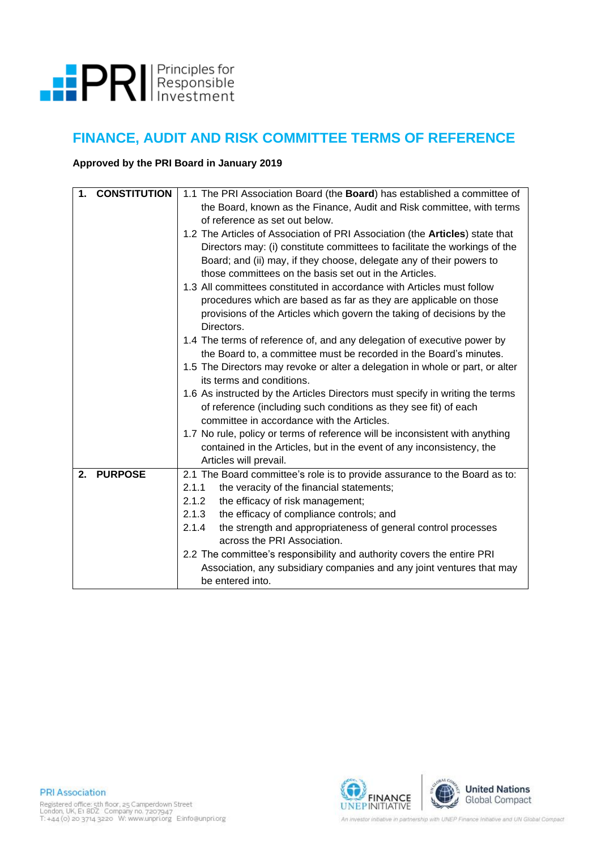

## **FINANCE, AUDIT AND RISK COMMITTEE TERMS OF REFERENCE**

## **Approved by the PRI Board in January 2019**

| <b>CONSTITUTION</b><br>1. | 1.1 The PRI Association Board (the <b>Board</b> ) has established a committee of<br>the Board, known as the Finance, Audit and Risk committee, with terms<br>of reference as set out below.                                                                                                          |  |  |  |  |  |  |
|---------------------------|------------------------------------------------------------------------------------------------------------------------------------------------------------------------------------------------------------------------------------------------------------------------------------------------------|--|--|--|--|--|--|
|                           | 1.2 The Articles of Association of PRI Association (the <b>Articles</b> ) state that<br>Directors may: (i) constitute committees to facilitate the workings of the<br>Board; and (ii) may, if they choose, delegate any of their powers to<br>those committees on the basis set out in the Articles. |  |  |  |  |  |  |
|                           | 1.3 All committees constituted in accordance with Articles must follow<br>procedures which are based as far as they are applicable on those<br>provisions of the Articles which govern the taking of decisions by the<br>Directors.                                                                  |  |  |  |  |  |  |
|                           | 1.4 The terms of reference of, and any delegation of executive power by<br>the Board to, a committee must be recorded in the Board's minutes.<br>1.5 The Directors may revoke or alter a delegation in whole or part, or alter                                                                       |  |  |  |  |  |  |
|                           | its terms and conditions.<br>1.6 As instructed by the Articles Directors must specify in writing the terms<br>of reference (including such conditions as they see fit) of each<br>committee in accordance with the Articles.                                                                         |  |  |  |  |  |  |
|                           | 1.7 No rule, policy or terms of reference will be inconsistent with anything<br>contained in the Articles, but in the event of any inconsistency, the<br>Articles will prevail.                                                                                                                      |  |  |  |  |  |  |
| <b>PURPOSE</b><br>2.      | 2.1 The Board committee's role is to provide assurance to the Board as to:<br>2.1.1<br>the veracity of the financial statements;<br>the efficacy of risk management;<br>2.1.2                                                                                                                        |  |  |  |  |  |  |
|                           | the efficacy of compliance controls; and<br>2.1.3<br>2.1.4<br>the strength and appropriateness of general control processes<br>across the PRI Association.                                                                                                                                           |  |  |  |  |  |  |
|                           | 2.2 The committee's responsibility and authority covers the entire PRI<br>Association, any subsidiary companies and any joint ventures that may<br>be entered into.                                                                                                                                  |  |  |  |  |  |  |



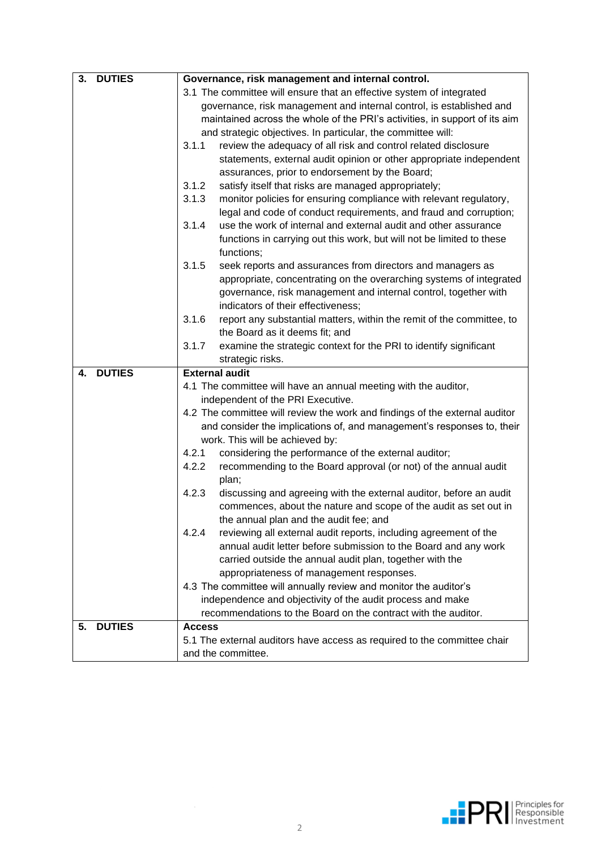| <b>DUTIES</b><br>3. | Governance, risk management and internal control.                                                                                          |  |  |  |  |
|---------------------|--------------------------------------------------------------------------------------------------------------------------------------------|--|--|--|--|
|                     | 3.1 The committee will ensure that an effective system of integrated                                                                       |  |  |  |  |
|                     | governance, risk management and internal control, is established and                                                                       |  |  |  |  |
|                     | maintained across the whole of the PRI's activities, in support of its aim<br>and strategic objectives. In particular, the committee will: |  |  |  |  |
|                     |                                                                                                                                            |  |  |  |  |
|                     | 3.1.1<br>review the adequacy of all risk and control related disclosure                                                                    |  |  |  |  |
|                     | statements, external audit opinion or other appropriate independent                                                                        |  |  |  |  |
|                     | assurances, prior to endorsement by the Board;                                                                                             |  |  |  |  |
|                     | 3.1.2<br>satisfy itself that risks are managed appropriately;                                                                              |  |  |  |  |
|                     | 3.1.3<br>monitor policies for ensuring compliance with relevant regulatory,                                                                |  |  |  |  |
|                     | legal and code of conduct requirements, and fraud and corruption;                                                                          |  |  |  |  |
|                     | use the work of internal and external audit and other assurance<br>3.1.4                                                                   |  |  |  |  |
|                     | functions in carrying out this work, but will not be limited to these<br>functions;                                                        |  |  |  |  |
|                     | 3.1.5<br>seek reports and assurances from directors and managers as                                                                        |  |  |  |  |
|                     | appropriate, concentrating on the overarching systems of integrated                                                                        |  |  |  |  |
|                     | governance, risk management and internal control, together with                                                                            |  |  |  |  |
|                     | indicators of their effectiveness;                                                                                                         |  |  |  |  |
|                     | 3.1.6<br>report any substantial matters, within the remit of the committee, to                                                             |  |  |  |  |
|                     | the Board as it deems fit; and                                                                                                             |  |  |  |  |
|                     | 3.1.7<br>examine the strategic context for the PRI to identify significant                                                                 |  |  |  |  |
|                     | strategic risks.                                                                                                                           |  |  |  |  |
|                     |                                                                                                                                            |  |  |  |  |
| <b>DUTIES</b><br>4. | <b>External audit</b>                                                                                                                      |  |  |  |  |
|                     | 4.1 The committee will have an annual meeting with the auditor,                                                                            |  |  |  |  |
|                     | independent of the PRI Executive.                                                                                                          |  |  |  |  |
|                     | 4.2 The committee will review the work and findings of the external auditor                                                                |  |  |  |  |
|                     | and consider the implications of, and management's responses to, their                                                                     |  |  |  |  |
|                     | work. This will be achieved by:                                                                                                            |  |  |  |  |
|                     | 4.2.1<br>considering the performance of the external auditor;                                                                              |  |  |  |  |
|                     | 4.2.2<br>recommending to the Board approval (or not) of the annual audit                                                                   |  |  |  |  |
|                     | plan;                                                                                                                                      |  |  |  |  |
|                     | 4.2.3<br>discussing and agreeing with the external auditor, before an audit                                                                |  |  |  |  |
|                     | commences, about the nature and scope of the audit as set out in                                                                           |  |  |  |  |
|                     | the annual plan and the audit fee; and                                                                                                     |  |  |  |  |
|                     | 4.2.4<br>reviewing all external audit reports, including agreement of the                                                                  |  |  |  |  |
|                     | annual audit letter before submission to the Board and any work                                                                            |  |  |  |  |
|                     | carried outside the annual audit plan, together with the                                                                                   |  |  |  |  |
|                     | appropriateness of management responses.                                                                                                   |  |  |  |  |
|                     | 4.3 The committee will annually review and monitor the auditor's                                                                           |  |  |  |  |
|                     | independence and objectivity of the audit process and make                                                                                 |  |  |  |  |
|                     | recommendations to the Board on the contract with the auditor.                                                                             |  |  |  |  |
| <b>DUTIES</b><br>5. | <b>Access</b>                                                                                                                              |  |  |  |  |
|                     | 5.1 The external auditors have access as required to the committee chair                                                                   |  |  |  |  |

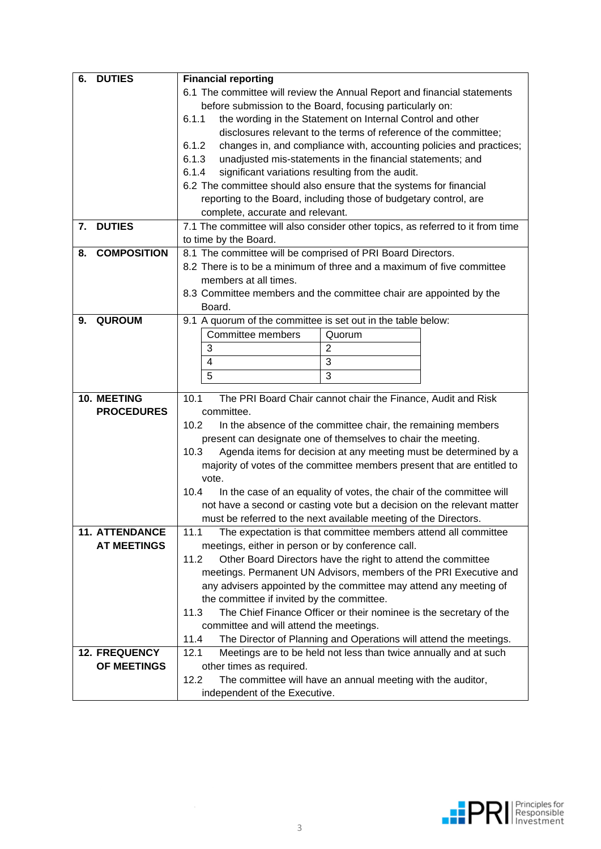| <b>Financial reporting</b>                                                                      |                                                                                                                              |                                                                                                                                                                                                                                                                                                                                                                                                                                                                                                                                                                                                                                                                                                                                                                                                                                                                                                                                                                                                                                                                                                                                                                                                                                                                                                                                                                                                                                                                                                                                                                                                                                                                                                                                                                                         |  |  |  |
|-------------------------------------------------------------------------------------------------|------------------------------------------------------------------------------------------------------------------------------|-----------------------------------------------------------------------------------------------------------------------------------------------------------------------------------------------------------------------------------------------------------------------------------------------------------------------------------------------------------------------------------------------------------------------------------------------------------------------------------------------------------------------------------------------------------------------------------------------------------------------------------------------------------------------------------------------------------------------------------------------------------------------------------------------------------------------------------------------------------------------------------------------------------------------------------------------------------------------------------------------------------------------------------------------------------------------------------------------------------------------------------------------------------------------------------------------------------------------------------------------------------------------------------------------------------------------------------------------------------------------------------------------------------------------------------------------------------------------------------------------------------------------------------------------------------------------------------------------------------------------------------------------------------------------------------------------------------------------------------------------------------------------------------------|--|--|--|
| 6.1 The committee will review the Annual Report and financial statements                        |                                                                                                                              |                                                                                                                                                                                                                                                                                                                                                                                                                                                                                                                                                                                                                                                                                                                                                                                                                                                                                                                                                                                                                                                                                                                                                                                                                                                                                                                                                                                                                                                                                                                                                                                                                                                                                                                                                                                         |  |  |  |
| before submission to the Board, focusing particularly on:                                       |                                                                                                                              |                                                                                                                                                                                                                                                                                                                                                                                                                                                                                                                                                                                                                                                                                                                                                                                                                                                                                                                                                                                                                                                                                                                                                                                                                                                                                                                                                                                                                                                                                                                                                                                                                                                                                                                                                                                         |  |  |  |
| 6.1.1                                                                                           |                                                                                                                              |                                                                                                                                                                                                                                                                                                                                                                                                                                                                                                                                                                                                                                                                                                                                                                                                                                                                                                                                                                                                                                                                                                                                                                                                                                                                                                                                                                                                                                                                                                                                                                                                                                                                                                                                                                                         |  |  |  |
|                                                                                                 |                                                                                                                              |                                                                                                                                                                                                                                                                                                                                                                                                                                                                                                                                                                                                                                                                                                                                                                                                                                                                                                                                                                                                                                                                                                                                                                                                                                                                                                                                                                                                                                                                                                                                                                                                                                                                                                                                                                                         |  |  |  |
| 6.1.2                                                                                           |                                                                                                                              |                                                                                                                                                                                                                                                                                                                                                                                                                                                                                                                                                                                                                                                                                                                                                                                                                                                                                                                                                                                                                                                                                                                                                                                                                                                                                                                                                                                                                                                                                                                                                                                                                                                                                                                                                                                         |  |  |  |
| 6.1.3                                                                                           |                                                                                                                              |                                                                                                                                                                                                                                                                                                                                                                                                                                                                                                                                                                                                                                                                                                                                                                                                                                                                                                                                                                                                                                                                                                                                                                                                                                                                                                                                                                                                                                                                                                                                                                                                                                                                                                                                                                                         |  |  |  |
|                                                                                                 |                                                                                                                              |                                                                                                                                                                                                                                                                                                                                                                                                                                                                                                                                                                                                                                                                                                                                                                                                                                                                                                                                                                                                                                                                                                                                                                                                                                                                                                                                                                                                                                                                                                                                                                                                                                                                                                                                                                                         |  |  |  |
|                                                                                                 |                                                                                                                              |                                                                                                                                                                                                                                                                                                                                                                                                                                                                                                                                                                                                                                                                                                                                                                                                                                                                                                                                                                                                                                                                                                                                                                                                                                                                                                                                                                                                                                                                                                                                                                                                                                                                                                                                                                                         |  |  |  |
|                                                                                                 |                                                                                                                              |                                                                                                                                                                                                                                                                                                                                                                                                                                                                                                                                                                                                                                                                                                                                                                                                                                                                                                                                                                                                                                                                                                                                                                                                                                                                                                                                                                                                                                                                                                                                                                                                                                                                                                                                                                                         |  |  |  |
|                                                                                                 |                                                                                                                              |                                                                                                                                                                                                                                                                                                                                                                                                                                                                                                                                                                                                                                                                                                                                                                                                                                                                                                                                                                                                                                                                                                                                                                                                                                                                                                                                                                                                                                                                                                                                                                                                                                                                                                                                                                                         |  |  |  |
|                                                                                                 |                                                                                                                              |                                                                                                                                                                                                                                                                                                                                                                                                                                                                                                                                                                                                                                                                                                                                                                                                                                                                                                                                                                                                                                                                                                                                                                                                                                                                                                                                                                                                                                                                                                                                                                                                                                                                                                                                                                                         |  |  |  |
|                                                                                                 |                                                                                                                              |                                                                                                                                                                                                                                                                                                                                                                                                                                                                                                                                                                                                                                                                                                                                                                                                                                                                                                                                                                                                                                                                                                                                                                                                                                                                                                                                                                                                                                                                                                                                                                                                                                                                                                                                                                                         |  |  |  |
|                                                                                                 |                                                                                                                              |                                                                                                                                                                                                                                                                                                                                                                                                                                                                                                                                                                                                                                                                                                                                                                                                                                                                                                                                                                                                                                                                                                                                                                                                                                                                                                                                                                                                                                                                                                                                                                                                                                                                                                                                                                                         |  |  |  |
|                                                                                                 |                                                                                                                              |                                                                                                                                                                                                                                                                                                                                                                                                                                                                                                                                                                                                                                                                                                                                                                                                                                                                                                                                                                                                                                                                                                                                                                                                                                                                                                                                                                                                                                                                                                                                                                                                                                                                                                                                                                                         |  |  |  |
|                                                                                                 |                                                                                                                              |                                                                                                                                                                                                                                                                                                                                                                                                                                                                                                                                                                                                                                                                                                                                                                                                                                                                                                                                                                                                                                                                                                                                                                                                                                                                                                                                                                                                                                                                                                                                                                                                                                                                                                                                                                                         |  |  |  |
|                                                                                                 |                                                                                                                              |                                                                                                                                                                                                                                                                                                                                                                                                                                                                                                                                                                                                                                                                                                                                                                                                                                                                                                                                                                                                                                                                                                                                                                                                                                                                                                                                                                                                                                                                                                                                                                                                                                                                                                                                                                                         |  |  |  |
|                                                                                                 |                                                                                                                              |                                                                                                                                                                                                                                                                                                                                                                                                                                                                                                                                                                                                                                                                                                                                                                                                                                                                                                                                                                                                                                                                                                                                                                                                                                                                                                                                                                                                                                                                                                                                                                                                                                                                                                                                                                                         |  |  |  |
|                                                                                                 |                                                                                                                              |                                                                                                                                                                                                                                                                                                                                                                                                                                                                                                                                                                                                                                                                                                                                                                                                                                                                                                                                                                                                                                                                                                                                                                                                                                                                                                                                                                                                                                                                                                                                                                                                                                                                                                                                                                                         |  |  |  |
| 3                                                                                               |                                                                                                                              |                                                                                                                                                                                                                                                                                                                                                                                                                                                                                                                                                                                                                                                                                                                                                                                                                                                                                                                                                                                                                                                                                                                                                                                                                                                                                                                                                                                                                                                                                                                                                                                                                                                                                                                                                                                         |  |  |  |
| 4                                                                                               | $\overline{3}$                                                                                                               |                                                                                                                                                                                                                                                                                                                                                                                                                                                                                                                                                                                                                                                                                                                                                                                                                                                                                                                                                                                                                                                                                                                                                                                                                                                                                                                                                                                                                                                                                                                                                                                                                                                                                                                                                                                         |  |  |  |
| 5                                                                                               | 3                                                                                                                            |                                                                                                                                                                                                                                                                                                                                                                                                                                                                                                                                                                                                                                                                                                                                                                                                                                                                                                                                                                                                                                                                                                                                                                                                                                                                                                                                                                                                                                                                                                                                                                                                                                                                                                                                                                                         |  |  |  |
|                                                                                                 |                                                                                                                              |                                                                                                                                                                                                                                                                                                                                                                                                                                                                                                                                                                                                                                                                                                                                                                                                                                                                                                                                                                                                                                                                                                                                                                                                                                                                                                                                                                                                                                                                                                                                                                                                                                                                                                                                                                                         |  |  |  |
|                                                                                                 |                                                                                                                              |                                                                                                                                                                                                                                                                                                                                                                                                                                                                                                                                                                                                                                                                                                                                                                                                                                                                                                                                                                                                                                                                                                                                                                                                                                                                                                                                                                                                                                                                                                                                                                                                                                                                                                                                                                                         |  |  |  |
|                                                                                                 |                                                                                                                              |                                                                                                                                                                                                                                                                                                                                                                                                                                                                                                                                                                                                                                                                                                                                                                                                                                                                                                                                                                                                                                                                                                                                                                                                                                                                                                                                                                                                                                                                                                                                                                                                                                                                                                                                                                                         |  |  |  |
|                                                                                                 |                                                                                                                              |                                                                                                                                                                                                                                                                                                                                                                                                                                                                                                                                                                                                                                                                                                                                                                                                                                                                                                                                                                                                                                                                                                                                                                                                                                                                                                                                                                                                                                                                                                                                                                                                                                                                                                                                                                                         |  |  |  |
|                                                                                                 |                                                                                                                              |                                                                                                                                                                                                                                                                                                                                                                                                                                                                                                                                                                                                                                                                                                                                                                                                                                                                                                                                                                                                                                                                                                                                                                                                                                                                                                                                                                                                                                                                                                                                                                                                                                                                                                                                                                                         |  |  |  |
|                                                                                                 |                                                                                                                              |                                                                                                                                                                                                                                                                                                                                                                                                                                                                                                                                                                                                                                                                                                                                                                                                                                                                                                                                                                                                                                                                                                                                                                                                                                                                                                                                                                                                                                                                                                                                                                                                                                                                                                                                                                                         |  |  |  |
| vote.                                                                                           |                                                                                                                              |                                                                                                                                                                                                                                                                                                                                                                                                                                                                                                                                                                                                                                                                                                                                                                                                                                                                                                                                                                                                                                                                                                                                                                                                                                                                                                                                                                                                                                                                                                                                                                                                                                                                                                                                                                                         |  |  |  |
| 10.4                                                                                            |                                                                                                                              |                                                                                                                                                                                                                                                                                                                                                                                                                                                                                                                                                                                                                                                                                                                                                                                                                                                                                                                                                                                                                                                                                                                                                                                                                                                                                                                                                                                                                                                                                                                                                                                                                                                                                                                                                                                         |  |  |  |
|                                                                                                 |                                                                                                                              |                                                                                                                                                                                                                                                                                                                                                                                                                                                                                                                                                                                                                                                                                                                                                                                                                                                                                                                                                                                                                                                                                                                                                                                                                                                                                                                                                                                                                                                                                                                                                                                                                                                                                                                                                                                         |  |  |  |
|                                                                                                 |                                                                                                                              |                                                                                                                                                                                                                                                                                                                                                                                                                                                                                                                                                                                                                                                                                                                                                                                                                                                                                                                                                                                                                                                                                                                                                                                                                                                                                                                                                                                                                                                                                                                                                                                                                                                                                                                                                                                         |  |  |  |
| The expectation is that committee members attend all committee<br>11.1                          |                                                                                                                              |                                                                                                                                                                                                                                                                                                                                                                                                                                                                                                                                                                                                                                                                                                                                                                                                                                                                                                                                                                                                                                                                                                                                                                                                                                                                                                                                                                                                                                                                                                                                                                                                                                                                                                                                                                                         |  |  |  |
|                                                                                                 |                                                                                                                              |                                                                                                                                                                                                                                                                                                                                                                                                                                                                                                                                                                                                                                                                                                                                                                                                                                                                                                                                                                                                                                                                                                                                                                                                                                                                                                                                                                                                                                                                                                                                                                                                                                                                                                                                                                                         |  |  |  |
| 11.2                                                                                            |                                                                                                                              |                                                                                                                                                                                                                                                                                                                                                                                                                                                                                                                                                                                                                                                                                                                                                                                                                                                                                                                                                                                                                                                                                                                                                                                                                                                                                                                                                                                                                                                                                                                                                                                                                                                                                                                                                                                         |  |  |  |
|                                                                                                 |                                                                                                                              |                                                                                                                                                                                                                                                                                                                                                                                                                                                                                                                                                                                                                                                                                                                                                                                                                                                                                                                                                                                                                                                                                                                                                                                                                                                                                                                                                                                                                                                                                                                                                                                                                                                                                                                                                                                         |  |  |  |
|                                                                                                 |                                                                                                                              |                                                                                                                                                                                                                                                                                                                                                                                                                                                                                                                                                                                                                                                                                                                                                                                                                                                                                                                                                                                                                                                                                                                                                                                                                                                                                                                                                                                                                                                                                                                                                                                                                                                                                                                                                                                         |  |  |  |
|                                                                                                 |                                                                                                                              |                                                                                                                                                                                                                                                                                                                                                                                                                                                                                                                                                                                                                                                                                                                                                                                                                                                                                                                                                                                                                                                                                                                                                                                                                                                                                                                                                                                                                                                                                                                                                                                                                                                                                                                                                                                         |  |  |  |
| 11.3<br>The Chief Finance Officer or their nominee is the secretary of the                      |                                                                                                                              |                                                                                                                                                                                                                                                                                                                                                                                                                                                                                                                                                                                                                                                                                                                                                                                                                                                                                                                                                                                                                                                                                                                                                                                                                                                                                                                                                                                                                                                                                                                                                                                                                                                                                                                                                                                         |  |  |  |
|                                                                                                 | committee and will attend the meetings.<br>The Director of Planning and Operations will attend the meetings.                 |                                                                                                                                                                                                                                                                                                                                                                                                                                                                                                                                                                                                                                                                                                                                                                                                                                                                                                                                                                                                                                                                                                                                                                                                                                                                                                                                                                                                                                                                                                                                                                                                                                                                                                                                                                                         |  |  |  |
|                                                                                                 |                                                                                                                              |                                                                                                                                                                                                                                                                                                                                                                                                                                                                                                                                                                                                                                                                                                                                                                                                                                                                                                                                                                                                                                                                                                                                                                                                                                                                                                                                                                                                                                                                                                                                                                                                                                                                                                                                                                                         |  |  |  |
| 11.4                                                                                            |                                                                                                                              |                                                                                                                                                                                                                                                                                                                                                                                                                                                                                                                                                                                                                                                                                                                                                                                                                                                                                                                                                                                                                                                                                                                                                                                                                                                                                                                                                                                                                                                                                                                                                                                                                                                                                                                                                                                         |  |  |  |
| Meetings are to be held not less than twice annually and at such<br>12.1                        |                                                                                                                              |                                                                                                                                                                                                                                                                                                                                                                                                                                                                                                                                                                                                                                                                                                                                                                                                                                                                                                                                                                                                                                                                                                                                                                                                                                                                                                                                                                                                                                                                                                                                                                                                                                                                                                                                                                                         |  |  |  |
| other times as required.<br>12.2<br>The committee will have an annual meeting with the auditor, |                                                                                                                              |                                                                                                                                                                                                                                                                                                                                                                                                                                                                                                                                                                                                                                                                                                                                                                                                                                                                                                                                                                                                                                                                                                                                                                                                                                                                                                                                                                                                                                                                                                                                                                                                                                                                                                                                                                                         |  |  |  |
|                                                                                                 | 6.1.4<br>to time by the Board.<br>members at all times.<br>Board.<br>Committee members<br>10.1<br>committee.<br>10.2<br>10.3 | the wording in the Statement on Internal Control and other<br>disclosures relevant to the terms of reference of the committee;<br>changes in, and compliance with, accounting policies and practices;<br>unadjusted mis-statements in the financial statements; and<br>significant variations resulting from the audit.<br>6.2 The committee should also ensure that the systems for financial<br>reporting to the Board, including those of budgetary control, are<br>complete, accurate and relevant.<br>7.1 The committee will also consider other topics, as referred to it from time<br>8.1 The committee will be comprised of PRI Board Directors.<br>8.2 There is to be a minimum of three and a maximum of five committee<br>8.3 Committee members and the committee chair are appointed by the<br>9.1 A quorum of the committee is set out in the table below:<br>Quorum<br>$\overline{c}$<br>The PRI Board Chair cannot chair the Finance, Audit and Risk<br>In the absence of the committee chair, the remaining members<br>present can designate one of themselves to chair the meeting.<br>Agenda items for decision at any meeting must be determined by a<br>majority of votes of the committee members present that are entitled to<br>In the case of an equality of votes, the chair of the committee will<br>not have a second or casting vote but a decision on the relevant matter<br>must be referred to the next available meeting of the Directors.<br>meetings, either in person or by conference call.<br>Other Board Directors have the right to attend the committee<br>meetings. Permanent UN Advisors, members of the PRI Executive and<br>any advisers appointed by the committee may attend any meeting of<br>the committee if invited by the committee. |  |  |  |

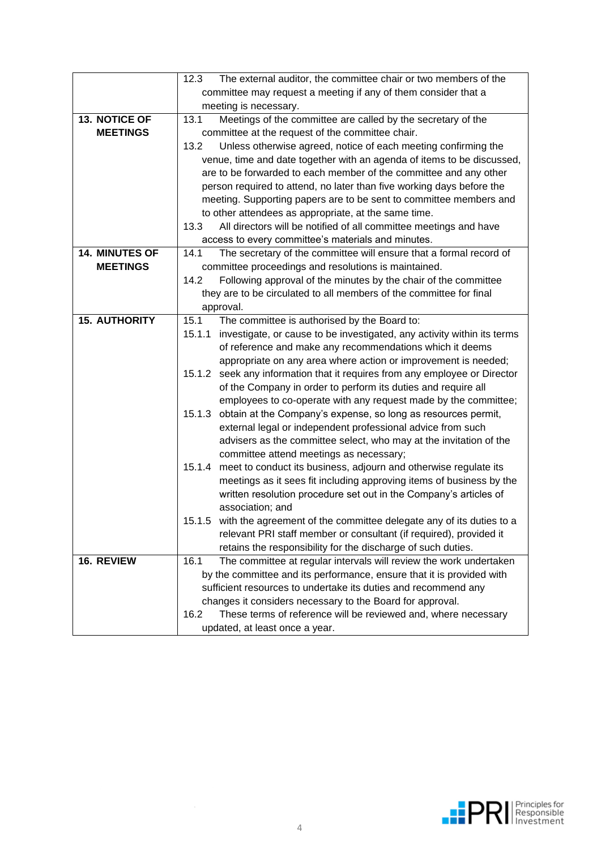|                      | The external auditor, the committee chair or two members of the<br>12.3           |  |  |  |  |  |
|----------------------|-----------------------------------------------------------------------------------|--|--|--|--|--|
|                      | committee may request a meeting if any of them consider that a                    |  |  |  |  |  |
|                      | meeting is necessary.                                                             |  |  |  |  |  |
| 13. NOTICE OF        | Meetings of the committee are called by the secretary of the<br>13.1              |  |  |  |  |  |
| <b>MEETINGS</b>      | committee at the request of the committee chair.                                  |  |  |  |  |  |
|                      | 13.2<br>Unless otherwise agreed, notice of each meeting confirming the            |  |  |  |  |  |
|                      | venue, time and date together with an agenda of items to be discussed,            |  |  |  |  |  |
|                      | are to be forwarded to each member of the committee and any other                 |  |  |  |  |  |
|                      | person required to attend, no later than five working days before the             |  |  |  |  |  |
|                      | meeting. Supporting papers are to be sent to committee members and                |  |  |  |  |  |
|                      | to other attendees as appropriate, at the same time.                              |  |  |  |  |  |
|                      | 13.3<br>All directors will be notified of all committee meetings and have         |  |  |  |  |  |
|                      | access to every committee's materials and minutes.                                |  |  |  |  |  |
| 14. MINUTES OF       | The secretary of the committee will ensure that a formal record of<br>14.1        |  |  |  |  |  |
| <b>MEETINGS</b>      | committee proceedings and resolutions is maintained.                              |  |  |  |  |  |
|                      | 14.2<br>Following approval of the minutes by the chair of the committee           |  |  |  |  |  |
|                      | they are to be circulated to all members of the committee for final               |  |  |  |  |  |
|                      | approval.                                                                         |  |  |  |  |  |
| <b>15. AUTHORITY</b> | The committee is authorised by the Board to:<br>15.1                              |  |  |  |  |  |
|                      | investigate, or cause to be investigated, any activity within its terms<br>15.1.1 |  |  |  |  |  |
|                      | of reference and make any recommendations which it deems                          |  |  |  |  |  |
|                      | appropriate on any area where action or improvement is needed;                    |  |  |  |  |  |
|                      | 15.1.2 seek any information that it requires from any employee or Director        |  |  |  |  |  |
|                      | of the Company in order to perform its duties and require all                     |  |  |  |  |  |
|                      | employees to co-operate with any request made by the committee;                   |  |  |  |  |  |
|                      | 15.1.3 obtain at the Company's expense, so long as resources permit,              |  |  |  |  |  |
|                      | external legal or independent professional advice from such                       |  |  |  |  |  |
|                      | advisers as the committee select, who may at the invitation of the                |  |  |  |  |  |
|                      | committee attend meetings as necessary;                                           |  |  |  |  |  |
|                      | meet to conduct its business, adjourn and otherwise regulate its<br>15.1.4        |  |  |  |  |  |
|                      | meetings as it sees fit including approving items of business by the              |  |  |  |  |  |
|                      | written resolution procedure set out in the Company's articles of                 |  |  |  |  |  |
|                      | association; and                                                                  |  |  |  |  |  |
|                      | 15.1.5 with the agreement of the committee delegate any of its duties to a        |  |  |  |  |  |
|                      | relevant PRI staff member or consultant (if required), provided it                |  |  |  |  |  |
|                      | retains the responsibility for the discharge of such duties.                      |  |  |  |  |  |
| 16. REVIEW           | The committee at regular intervals will review the work undertaken<br>16.1        |  |  |  |  |  |
|                      | by the committee and its performance, ensure that it is provided with             |  |  |  |  |  |
|                      | sufficient resources to undertake its duties and recommend any                    |  |  |  |  |  |
|                      | changes it considers necessary to the Board for approval.                         |  |  |  |  |  |
|                      | These terms of reference will be reviewed and, where necessary<br>16.2            |  |  |  |  |  |
|                      |                                                                                   |  |  |  |  |  |
|                      | updated, at least once a year.                                                    |  |  |  |  |  |